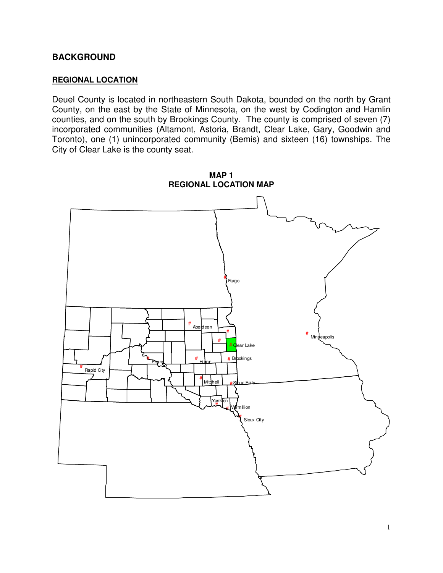### **BACKGROUND**

#### **REGIONAL LOCATION**

Deuel County is located in northeastern South Dakota, bounded on the north by Grant County, on the east by the State of Minnesota, on the west by Codington and Hamlin counties, and on the south by Brookings County. The county is comprised of seven (7) incorporated communities (Altamont, Astoria, Brandt, Clear Lake, Gary, Goodwin and Toronto), one (1) unincorporated community (Bemis) and sixteen (16) townships. The City of Clear Lake is the county seat.

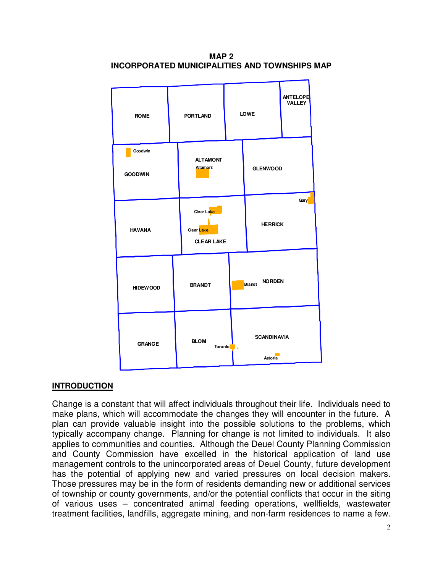**MAP 2 INCORPORATED MUNICIPALITIES AND TOWNSHIPS MAP**



# **INTRODUCTION**

Change is a constant that will affect individuals throughout their life. Individuals need to make plans, which will accommodate the changes they will encounter in the future. A plan can provide valuable insight into the possible solutions to the problems, which typically accompany change. Planning for change is not limited to individuals. It also applies to communities and counties. Although the Deuel County Planning Commission and County Commission have excelled in the historical application of land use management controls to the unincorporated areas of Deuel County, future development has the potential of applying new and varied pressures on local decision makers. Those pressures may be in the form of residents demanding new or additional services of township or county governments, and/or the potential conflicts that occur in the siting of various uses – concentrated animal feeding operations, wellfields, wastewater treatment facilities, landfills, aggregate mining, and non-farm residences to name a few.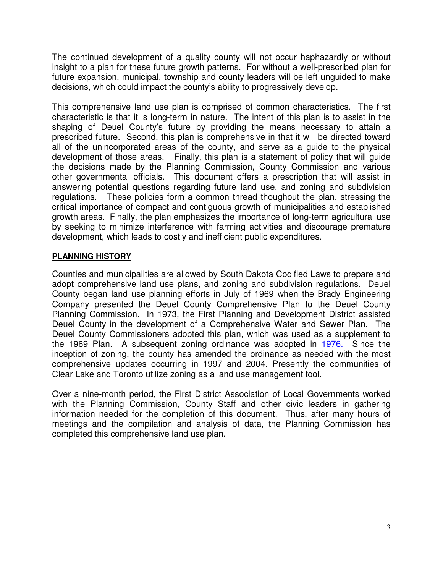The continued development of a quality county will not occur haphazardly or without insight to a plan for these future growth patterns. For without a well-prescribed plan for future expansion, municipal, township and county leaders will be left unguided to make decisions, which could impact the county's ability to progressively develop.

This comprehensive land use plan is comprised of common characteristics. The first characteristic is that it is long-term in nature. The intent of this plan is to assist in the shaping of Deuel County's future by providing the means necessary to attain a prescribed future. Second, this plan is comprehensive in that it will be directed toward all of the unincorporated areas of the county, and serve as a guide to the physical development of those areas. Finally, this plan is a statement of policy that will guide the decisions made by the Planning Commission, County Commission and various other governmental officials. This document offers a prescription that will assist in answering potential questions regarding future land use, and zoning and subdivision regulations. These policies form a common thread thoughout the plan, stressing the critical importance of compact and contiguous growth of municipalities and established growth areas. Finally, the plan emphasizes the importance of long-term agricultural use by seeking to minimize interference with farming activities and discourage premature development, which leads to costly and inefficient public expenditures.

## **PLANNING HISTORY**

Counties and municipalities are allowed by South Dakota Codified Laws to prepare and adopt comprehensive land use plans, and zoning and subdivision regulations. Deuel County began land use planning efforts in July of 1969 when the Brady Engineering Company presented the Deuel County Comprehensive Plan to the Deuel County Planning Commission. In 1973, the First Planning and Development District assisted Deuel County in the development of a Comprehensive Water and Sewer Plan. The Deuel County Commissioners adopted this plan, which was used as a supplement to the 1969 Plan. A subsequent zoning ordinance was adopted in 1976. Since the inception of zoning, the county has amended the ordinance as needed with the most comprehensive updates occurring in 1997 and 2004. Presently the communities of Clear Lake and Toronto utilize zoning as a land use management tool.

Over a nine-month period, the First District Association of Local Governments worked with the Planning Commission, County Staff and other civic leaders in gathering information needed for the completion of this document. Thus, after many hours of meetings and the compilation and analysis of data, the Planning Commission has completed this comprehensive land use plan.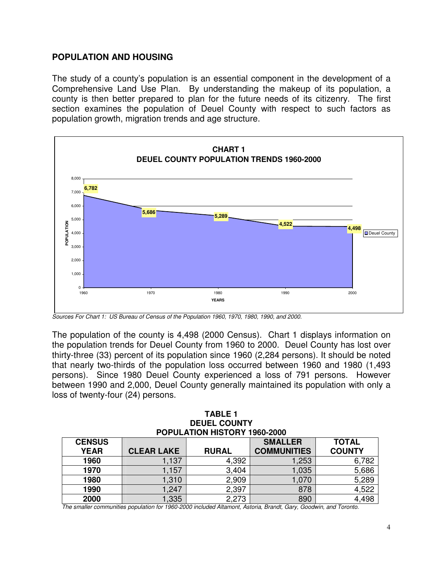## **POPULATION AND HOUSING**

The study of a county's population is an essential component in the development of a Comprehensive Land Use Plan. By understanding the makeup of its population, a county is then better prepared to plan for the future needs of its citizenry. The first section examines the population of Deuel County with respect to such factors as population growth, migration trends and age structure.



*Sources For Chart 1: US Bureau of Census of the Population 1960, 1970, 1980, 1990, and 2000.*

The population of the county is 4,498 (2000 Census). Chart 1 displays information on the population trends for Deuel County from 1960 to 2000. Deuel County has lost over thirty-three (33) percent of its population since 1960 (2,284 persons). It should be noted that nearly two-thirds of the population loss occurred between 1960 and 1980 (1,493 persons). Since 1980 Deuel County experienced a loss of 791 persons. However between 1990 and 2,000, Deuel County generally maintained its population with only a loss of twenty-four (24) persons.

| <b>TABLE 1</b>                      |                |
|-------------------------------------|----------------|
| <b>DEUEL COUNTY</b>                 |                |
| <b>POPULATION HISTORY 1960-2000</b> |                |
|                                     | <b>CRAALLE</b> |

| <b>CENSUS</b> |                   |              | <b>SMALLER</b>     | <b>TOTAL</b>  |
|---------------|-------------------|--------------|--------------------|---------------|
| <b>YEAR</b>   | <b>CLEAR LAKE</b> | <b>RURAL</b> | <b>COMMUNITIES</b> | <b>COUNTY</b> |
| 1960          | ,137              | 4,392        | .253               | 6,782         |
| 1970          | ,157              | 3,404        | 1,035              | 5,686         |
| 1980          | 1,310             | 2,909        | 1.070              | 5,289         |
| 1990          | ,247              | 2,397        | 878                | 4,522         |
| 2000          | ,335              | 2,273        | 890                | 4,498         |

*The smaller communities population for 1960-2000 included Altamont, Astoria, Brandt, Gary, Goodwin, and Toronto.*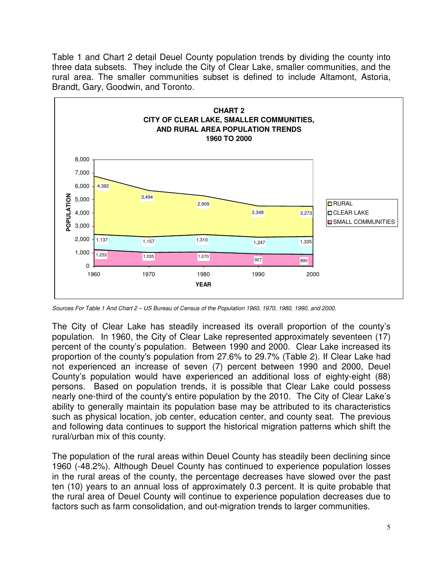Table 1 and Chart 2 detail Deuel County population trends by dividing the county into three data subsets. They include the City of Clear Lake, smaller communities, and the rural area. The smaller communities subset is defined to include Altamont, Astoria, Brandt, Gary, Goodwin, and Toronto.



Sources For Table 1 And Chart 2 - US Bureau of Census of the Population 1960, 1970, 1980, 1990, and 2000.

The City of Clear Lake has steadily increased its overall proportion of the county's population. In 1960, the City of Clear Lake represented approximately seventeen (17) percent of the county's population. Between 1990 and 2000. Clear Lake increased its proportion of the county's population from 27.6% to 29.7% (Table 2). If Clear Lake had not experienced an increase of seven (7) percent between 1990 and 2000, Deuel County's population would have experienced an additional loss of eighty-eight (88) persons. Based on population trends, it is possible that Clear Lake could possess nearly one-third of the county's entire population by the 2010. The City of Clear Lake's ability to generally maintain its population base may be attributed to its characteristics such as physical location, job center, education center, and county seat. The previous and following data continues to support the historical migration patterns which shift the rural/urban mix of this county.

The population of the rural areas within Deuel County has steadily been declining since 1960 (-48.2%). Although Deuel County has continued to experience population losses in the rural areas of the county, the percentage decreases have slowed over the past ten (10) years to an annual loss of approximately 0.3 percent. It is quite probable that the rural area of Deuel County will continue to experience population decreases due to factors such as farm consolidation, and out-migration trends to larger communities.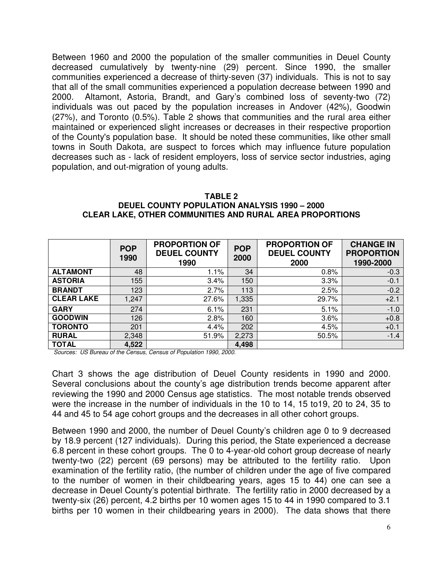Between 1960 and 2000 the population of the smaller communities in Deuel County decreased cumulatively by twenty-nine (29) percent. Since 1990, the smaller communities experienced a decrease of thirty-seven (37) individuals. This is not to say that all of the small communities experienced a population decrease between 1990 and 2000. Altamont, Astoria, Brandt, and Gary's combined loss of seventy-two (72) individuals was out paced by the population increases in Andover (42%), Goodwin (27%), and Toronto (0.5%). Table 2 shows that communities and the rural area either maintained or experienced slight increases or decreases in their respective proportion of the County's population base. It should be noted these communities, like other small towns in South Dakota, are suspect to forces which may influence future population decreases such as - lack of resident employers, loss of service sector industries, aging population, and out-migration of young adults.

| TABLE 2                                                         |
|-----------------------------------------------------------------|
| <b>DEUEL COUNTY POPULATION ANALYSIS 1990 - 2000</b>             |
| <b>CLEAR LAKE, OTHER COMMUNITIES AND RURAL AREA PROPORTIONS</b> |

|                   | <b>POP</b><br>1990 | <b>PROPORTION OF</b><br><b>DEUEL COUNTY</b><br>1990 | <b>POP</b><br>2000 | <b>PROPORTION OF</b><br><b>DEUEL COUNTY</b><br>2000 | <b>CHANGE IN</b><br><b>PROPORTION</b><br>1990-2000 |
|-------------------|--------------------|-----------------------------------------------------|--------------------|-----------------------------------------------------|----------------------------------------------------|
| <b>ALTAMONT</b>   | 48                 | $1.1\%$                                             | 34                 | 0.8%                                                | $-0.3$                                             |
| <b>ASTORIA</b>    | 155                | 3.4%                                                | 150                | 3.3%                                                | $-0.1$                                             |
| <b>BRANDT</b>     | 123                | 2.7%                                                | 113                | 2.5%                                                | $-0.2$                                             |
| <b>CLEAR LAKE</b> | 1,247              | 27.6%                                               | 1,335              | 29.7%                                               | $+2.1$                                             |
| <b>GARY</b>       | 274                | 6.1%                                                | 231                | 5.1%                                                | $-1.0$                                             |
| <b>GOODWIN</b>    | 126                | 2.8%                                                | 160                | 3.6%                                                | $+0.8$                                             |
| <b>TORONTO</b>    | 201                | 4.4%                                                | 202                | 4.5%                                                | $+0.1$                                             |
| <b>RURAL</b>      | 2,348              | 51.9%                                               | 2,273              | 50.5%                                               | $-1.4$                                             |
| <b>TOTAL</b>      | 4,522              |                                                     | 4,498              |                                                     |                                                    |

*Sources: US Bureau of the Census, Census of Population 1990, 2000.*

Chart 3 shows the age distribution of Deuel County residents in 1990 and 2000. Several conclusions about the county's age distribution trends become apparent after reviewing the 1990 and 2000 Census age statistics. The most notable trends observed were the increase in the number of individuals in the 10 to 14, 15 to19, 20 to 24, 35 to 44 and 45 to 54 age cohort groups and the decreases in all other cohort groups.

Between 1990 and 2000, the number of Deuel County's children age 0 to 9 decreased by 18.9 percent (127 individuals). During this period, the State experienced a decrease 6.8 percent in these cohort groups. The 0 to 4-year-old cohort group decrease of nearly twenty-two (22) percent (69 persons) may be attributed to the fertility ratio. Upon examination of the fertility ratio, (the number of children under the age of five compared to the number of women in their childbearing years, ages 15 to 44) one can see a decrease in Deuel County's potential birthrate. The fertility ratio in 2000 decreased by a twenty-six (26) percent, 4.2 births per 10 women ages 15 to 44 in 1990 compared to 3.1 births per 10 women in their childbearing years in 2000). The data shows that there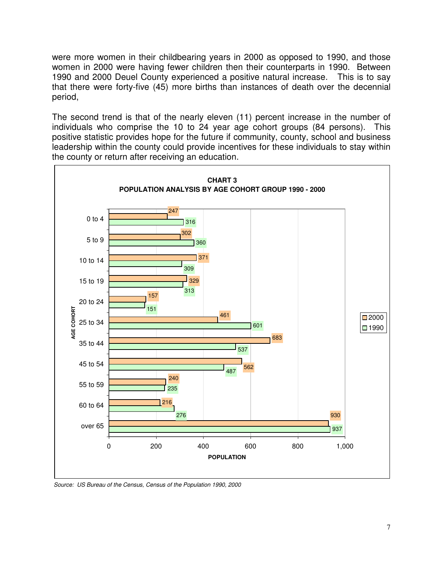were more women in their childbearing years in 2000 as opposed to 1990, and those women in 2000 were having fewer children then their counterparts in 1990. Between and 2000 Deuel County experienced a positive natural increase. This is to say that there were forty-five (45) more births than instances of death over the decennial period,

The second trend is that of the nearly eleven (11) percent increase in the number of individuals who comprise the 10 to 24 year age cohort groups (84 persons). This positive statistic provides hope for the future if community, county, school and business leadership within the county could provide incentives for these individuals to stay within the county or return after receiving an education.



*Source: US Bureau of the Census, Census of the Population 1990, 2000*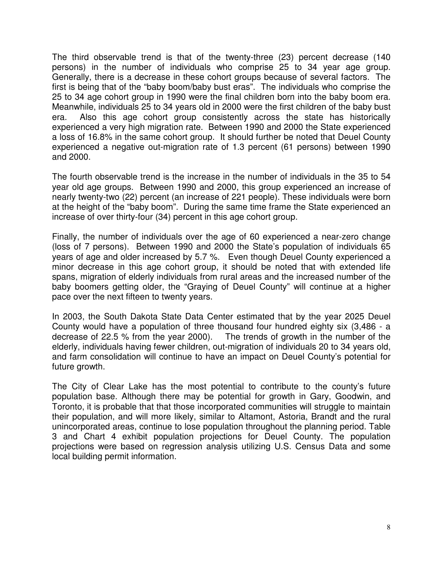The third observable trend is that of the twenty-three (23) percent decrease (140 persons) in the number of individuals who comprise 25 to 34 year age group. Generally, there is a decrease in these cohort groups because of several factors. The first is being that of the "baby boom/baby bust eras". The individuals who comprise the 25 to 34 age cohort group in 1990 were the final children born into the baby boom era. Meanwhile, individuals 25 to 34 years old in 2000 were the first children of the baby bust era. Also this age cohort group consistently across the state has historically experienced a very high migration rate. Between 1990 and 2000 the State experienced a loss of 16.8% in the same cohort group. It should further be noted that Deuel County experienced a negative out-migration rate of 1.3 percent (61 persons) between 1990 and 2000.

The fourth observable trend is the increase in the number of individuals in the 35 to 54 year old age groups. Between 1990 and 2000, this group experienced an increase of nearly twenty-two (22) percent (an increase of 221 people). These individuals were born at the height of the "baby boom". During the same time frame the State experienced an increase of over thirty-four (34) percent in this age cohort group.

Finally, the number of individuals over the age of 60 experienced a near-zero change (loss of 7 persons). Between 1990 and 2000 the State's population of individuals 65 years of age and older increased by 5.7 %. Even though Deuel County experienced a minor decrease in this age cohort group, it should be noted that with extended life spans, migration of elderly individuals from rural areas and the increased number of the baby boomers getting older, the "Graying of Deuel County" will continue at a higher pace over the next fifteen to twenty years.

In 2003, the South Dakota State Data Center estimated that by the year 2025 Deuel County would have a population of three thousand four hundred eighty six (3,486 - a decrease of 22.5 % from the year 2000). The trends of growth in the number of the elderly, individuals having fewer children, out-migration of individuals 20 to 34 years old, and farm consolidation will continue to have an impact on Deuel County's potential for future growth.

The City of Clear Lake has the most potential to contribute to the county's future population base. Although there may be potential for growth in Gary, Goodwin, and Toronto, it is probable that that those incorporated communities will struggle to maintain their population, and will more likely, similar to Altamont, Astoria, Brandt and the rural unincorporated areas, continue to lose population throughout the planning period. Table 3 and Chart 4 exhibit population projections for Deuel County. The population projections were based on regression analysis utilizing U.S. Census Data and some local building permit information.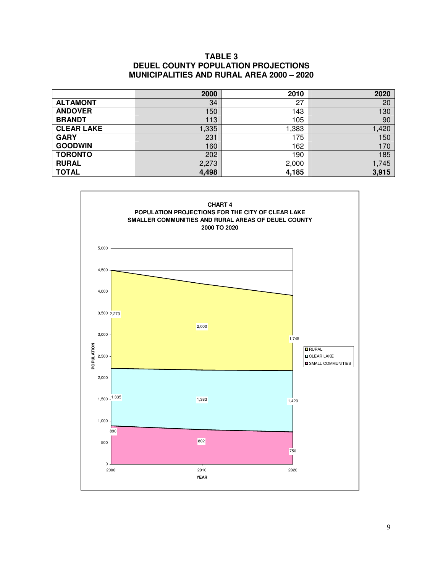#### **TABLE 3 DEUEL COUNTY POPULATION PROJECTIONS MUNICIPALITIES AND RURAL AREA 2000 – 2020**

|                   | 2000  | 2010  | 2020  |
|-------------------|-------|-------|-------|
| <b>ALTAMONT</b>   | 34    | 27    | 20    |
| <b>ANDOVER</b>    | 150   | 143   | 130   |
| <b>BRANDT</b>     | 113   | 105   | 90    |
| <b>CLEAR LAKE</b> | ,335  | ,383  | 1,420 |
| <b>GARY</b>       | 231   | 175   | 150   |
| <b>GOODWIN</b>    | 160   | 162   | 170   |
| <b>TORONTO</b>    | 202   | 190   | 185   |
| <b>RURAL</b>      | 2,273 | 2,000 | 1,745 |
| <b>TOTAL</b>      | 4,498 | 4,185 | 3,915 |

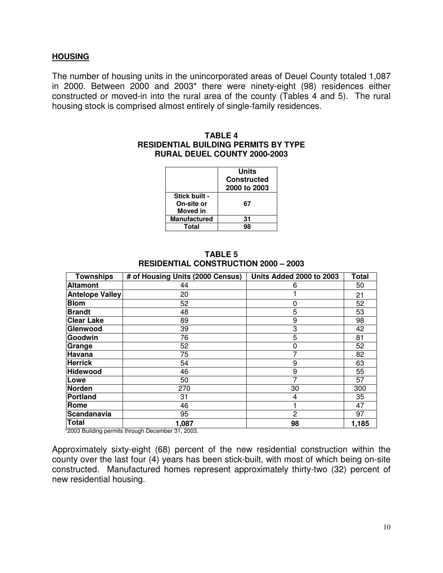#### **HOUSING**

The number of housing units in the unincorporated areas of Deuel County totaled 1,087 in 2000. Between 2000 and 2003\* there were ninety-eight (98) residences either constructed or moved-in into the rural area of the county (Tables 4 and 5). The rural housing stock is comprised almost entirely of single-family residences.

#### **TABLE 4 RESIDENTIAL BUILDING PERMITS BY TYPE RURAL DEUEL COUNTY 2000-2003**

|                                                | Units<br><b>Constructed</b><br>2000 to 2003 |
|------------------------------------------------|---------------------------------------------|
| Stick built -<br>On-site or<br><b>Moved</b> in | 67                                          |
| <b>Manufactured</b>                            | 31                                          |
| Total                                          |                                             |

#### **TABLE 5 RESIDENTIAL CONSTRUCTION 2000 – 2003**

| <b>Townships</b>       | # of Housing Units (2000 Census) | Units Added 2000 to 2003 | <b>Total</b> |
|------------------------|----------------------------------|--------------------------|--------------|
| <b>Altamont</b>        | 44                               | 6                        | 50           |
| <b>Antelope Valley</b> | 20                               |                          | 21           |
| <b>Blom</b>            | 52                               | 0                        | 52           |
| <b>Brandt</b>          | 48                               | 5                        | 53           |
| <b>Clear Lake</b>      | 89                               | 9                        | 98           |
| Glenwood               | 39                               | 3                        | 42           |
| Goodwin                | 76                               | 5                        | 81           |
| Grange                 | 52                               | 0                        | 52           |
| Havana                 | 75                               |                          | 82           |
| <b>Herrick</b>         | 54                               | 9                        | 63           |
| Hidewood               | 46                               | 9                        | 55           |
| Lowe                   | 50                               |                          | 57           |
| Norden                 | 270                              | 30                       | 300          |
| Portland               | 31                               | 4                        | 35           |
| Rome                   | 46                               |                          | 47           |
| Scandanavia            | 95                               | 2                        | 97           |
| <b>Total</b>           | 1,087                            | 98                       | 1,185        |

\*2003 Building permits through December 31, 2003.

Approximately sixty-eight (68) percent of the new residential construction within the county over the last four (4) years has been stick-built, with most of which being on-site constructed. Manufactured homes represent approximately thirty-two (32) percent of new residential housing.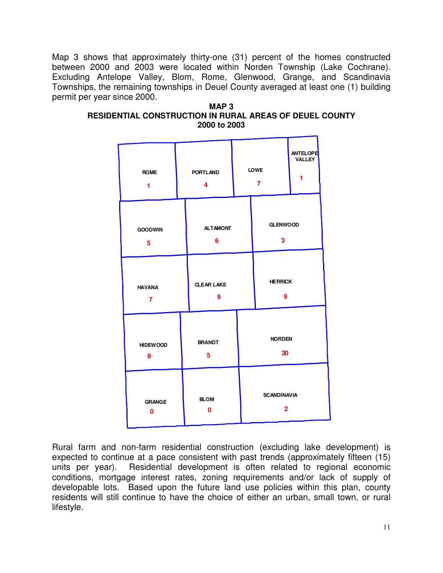Map 3 shows that approximately thirty-one (31) percent of the homes constructed between 2000 and 2003 were located within Norden Township (Lake Cochrane). Excluding Antelope Valley, Blom, Rome, Glenwood, Grange, and Scandinavia Townships, the remaining townships in Deuel County averaged at least one (1) building permit per year since 2000.

| MAP 3                                                   |
|---------------------------------------------------------|
| RESIDENTIAL CONSTRUCTION IN RURAL AREAS OF DEUEL COUNTY |
| 2000 to 2003                                            |

| <b>ROME</b>                                                          |                         | <b>PORTLAND</b> |                                | <b>LOWE</b>                          | <b>ANTELOPE</b> |
|----------------------------------------------------------------------|-------------------------|-----------------|--------------------------------|--------------------------------------|-----------------|
| 1                                                                    |                         | 4               |                                | $\overline{7}$                       | <b>VALLEY</b>   |
| <b>GOODWIN</b>                                                       |                         | <b>ALTAMONT</b> |                                | <b>GLENWOOD</b>                      |                 |
| 5                                                                    |                         | 6               |                                | 3                                    |                 |
| <b>CLEAR LAKE</b><br><b>HAVANA</b><br>$\mathbf{9}$<br>$\overline{7}$ |                         |                 | <b>HERRICK</b><br>$\mathbf{9}$ |                                      |                 |
| <b>HIDEWOOD</b>                                                      |                         | <b>BRANDT</b>   |                                | <b>NORDEN</b>                        |                 |
| 9                                                                    |                         | 5               |                                | 30                                   |                 |
| <b>GRANGE</b><br>0                                                   | <b>BLOM</b><br>$\bf{0}$ |                 |                                | <b>SCANDINAVIA</b><br>$\overline{2}$ |                 |

Rural farm and non-farm residential construction (excluding lake development) is expected to continue at a pace consistent with past trends (approximately fifteen (15) units per year). Residential development is often related to regional economic conditions, mortgage interest rates, zoning requirements and/or lack of supply of developable lots. Based upon the future land use policies within this plan, county residents will still continue to have the choice of either an urban, small town, or rural lifestyle.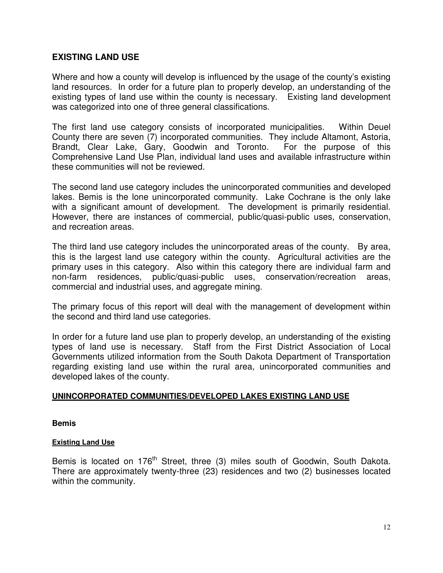## **EXISTING LAND USE**

Where and how a county will develop is influenced by the usage of the county's existing land resources. In order for a future plan to properly develop, an understanding of the existing types of land use within the county is necessary. Existing land development was categorized into one of three general classifications.

The first land use category consists of incorporated municipalities. Within Deuel County there are seven (7) incorporated communities. They include Altamont, Astoria, Brandt, Clear Lake, Gary, Goodwin and Toronto. For the purpose of this Comprehensive Land Use Plan, individual land uses and available infrastructure within these communities will not be reviewed.

The second land use category includes the unincorporated communities and developed lakes. Bemis is the lone unincorporated community. Lake Cochrane is the only lake with a significant amount of development. The development is primarily residential. However, there are instances of commercial, public/quasi-public uses, conservation, and recreation areas.

The third land use category includes the unincorporated areas of the county. By area, this is the largest land use category within the county. Agricultural activities are the primary uses in this category. Also within this category there are individual farm and non-farm residences, public/quasi-public uses, conservation/recreation areas, commercial and industrial uses, and aggregate mining.

The primary focus of this report will deal with the management of development within the second and third land use categories.

In order for a future land use plan to properly develop, an understanding of the existing types of land use is necessary. Staff from the First District Association of Local Governments utilized information from the South Dakota Department of Transportation regarding existing land use within the rural area, unincorporated communities and developed lakes of the county.

### **UNINCORPORATED COMMUNITIES/DEVELOPED LAKES EXISTING LAND USE**

**Bemis**

#### **Existing Land Use**

Bemis is located on 176<sup>th</sup> Street, three (3) miles south of Goodwin, South Dakota. There are approximately twenty-three (23) residences and two (2) businesses located within the community.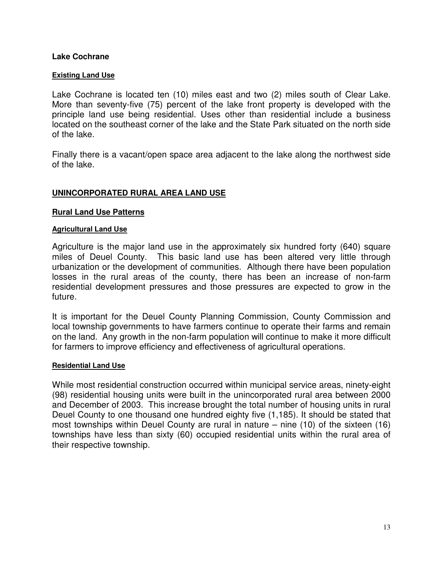### **Lake Cochrane**

#### **Existing Land Use**

Lake Cochrane is located ten (10) miles east and two (2) miles south of Clear Lake. More than seventy-five (75) percent of the lake front property is developed with the principle land use being residential. Uses other than residential include a business located on the southeast corner of the lake and the State Park situated on the north side of the lake.

Finally there is a vacant/open space area adjacent to the lake along the northwest side of the lake.

### **UNINCORPORATED RURAL AREA LAND USE**

#### **Rural Land Use Patterns**

#### **Agricultural Land Use**

Agriculture is the major land use in the approximately six hundred forty (640) square miles of Deuel County. This basic land use has been altered very little through urbanization or the development of communities. Although there have been population losses in the rural areas of the county, there has been an increase of non-farm residential development pressures and those pressures are expected to grow in the future.

It is important for the Deuel County Planning Commission, County Commission and local township governments to have farmers continue to operate their farms and remain on the land. Any growth in the non-farm population will continue to make it more difficult for farmers to improve efficiency and effectiveness of agricultural operations.

#### **Residential Land Use**

While most residential construction occurred within municipal service areas, ninety-eight (98) residential housing units were built in the unincorporated rural area between 2000 and December of 2003. This increase brought the total number of housing units in rural Deuel County to one thousand one hundred eighty five (1,185). It should be stated that most townships within Deuel County are rural in nature – nine (10) of the sixteen (16) townships have less than sixty (60) occupied residential units within the rural area of their respective township.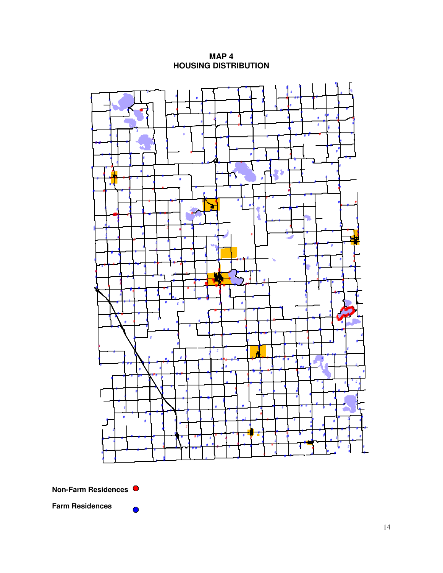MAP<sub>4</sub> **HOUSING DISTRIBUTION** 



**Farm Residences** 

 $\bullet$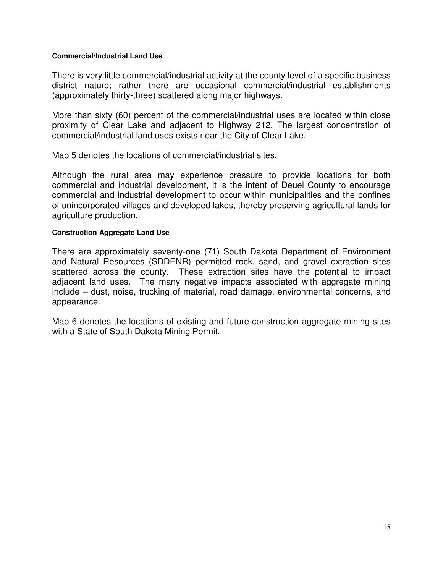#### **Commercial/Industrial Land Use**

There is very little commercial/industrial activity at the county level of a specific business district nature; rather there are occasional commercial/industrial establishments (approximately thirty-three) scattered along major highways.

More than sixty (60) percent of the commercial/industrial uses are located within close proximity of Clear Lake and adjacent to Highway 212. The largest concentration of commercial/industrial land uses exists near the City of Clear Lake.

Map 5 denotes the locations of commercial/industrial sites.

Although the rural area may experience pressure to provide locations for both commercial and industrial development, it is the intent of Deuel County to encourage commercial and industrial development to occur within municipalities and the confines of unincorporated villages and developed lakes, thereby preserving agricultural lands for agriculture production.

#### **Construction Aggregate Land Use**

There are approximately seventy-one (71) South Dakota Department of Environment and Natural Resources (SDDENR) permitted rock, sand, and gravel extraction sites scattered across the county. These extraction sites have the potential to impact adjacent land uses. The many negative impacts associated with aggregate mining include – dust, noise, trucking of material, road damage, environmental concerns, and appearance.

Map 6 denotes the locations of existing and future construction aggregate mining sites with a State of South Dakota Mining Permit.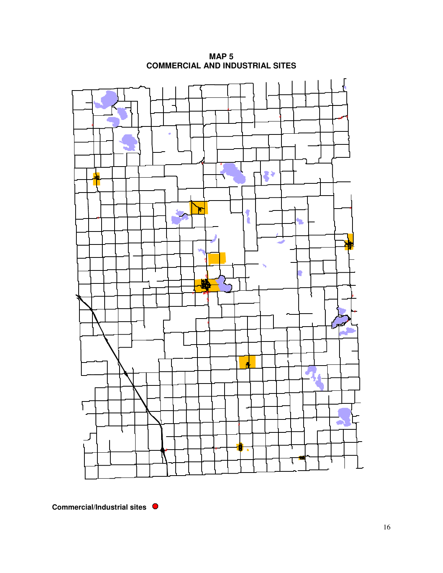

**MAP 5 COMMERCIAL AND INDUSTRIAL SITES**

**Commercial/Industrial sites**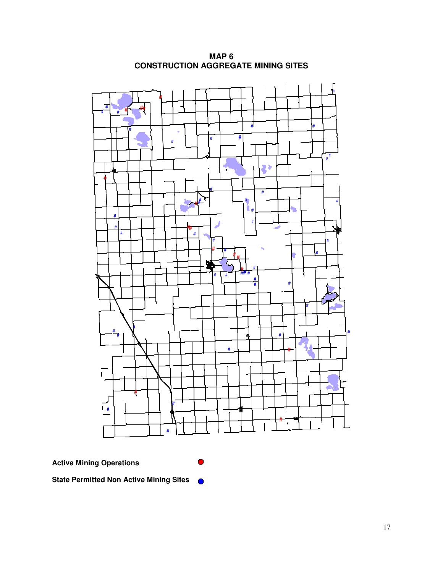

**MAP 6 CONSTRUCTION AGGREGATE MINING SITES**

**Active Mining Operations**

**State Permitted Non Active Mining Sites**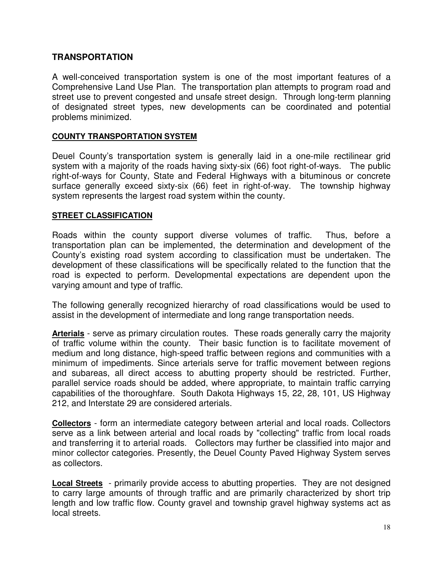## **TRANSPORTATION**

A well-conceived transportation system is one of the most important features of a Comprehensive Land Use Plan. The transportation plan attempts to program road and street use to prevent congested and unsafe street design. Through long-term planning of designated street types, new developments can be coordinated and potential problems minimized.

### **COUNTY TRANSPORTATION SYSTEM**

Deuel County's transportation system is generally laid in a one-mile rectilinear grid system with a majority of the roads having sixty-six (66) foot right-of-ways. The public right-of-ways for County, State and Federal Highways with a bituminous or concrete surface generally exceed sixty-six (66) feet in right-of-way. The township highway system represents the largest road system within the county.

#### **STREET CLASSIFICATION**

Roads within the county support diverse volumes of traffic. Thus, before a transportation plan can be implemented, the determination and development of the County's existing road system according to classification must be undertaken. The development of these classifications will be specifically related to the function that the road is expected to perform. Developmental expectations are dependent upon the varying amount and type of traffic.

The following generally recognized hierarchy of road classifications would be used to assist in the development of intermediate and long range transportation needs.

**Arterials** - serve as primary circulation routes. These roads generally carry the majority of traffic volume within the county. Their basic function is to facilitate movement of medium and long distance, high-speed traffic between regions and communities with a minimum of impediments. Since arterials serve for traffic movement between regions and subareas, all direct access to abutting property should be restricted. Further, parallel service roads should be added, where appropriate, to maintain traffic carrying capabilities of the thoroughfare. South Dakota Highways 15, 22, 28, 101, US Highway 212, and Interstate 29 are considered arterials.

**Collectors** - form an intermediate category between arterial and local roads. Collectors serve as a link between arterial and local roads by "collecting" traffic from local roads and transferring it to arterial roads. Collectors may further be classified into major and minor collector categories. Presently, the Deuel County Paved Highway System serves as collectors.

**Local Streets** - primarily provide access to abutting properties. They are not designed to carry large amounts of through traffic and are primarily characterized by short trip length and low traffic flow. County gravel and township gravel highway systems act as local streets.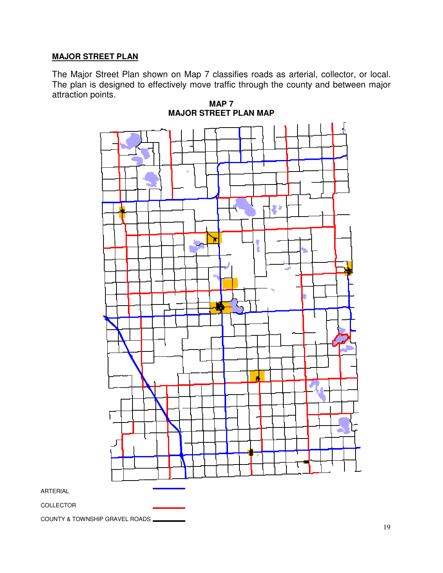## **MAJOR STREET PLAN**

The Major Street Plan shown on Map 7 classifies roads as arterial, collector, or local. The plan is designed to effectively move traffic through the county and between major attraction points.





COLLECTOR

ARTERIAL

COUNTY & TOWNSHIP GRAVEL ROADS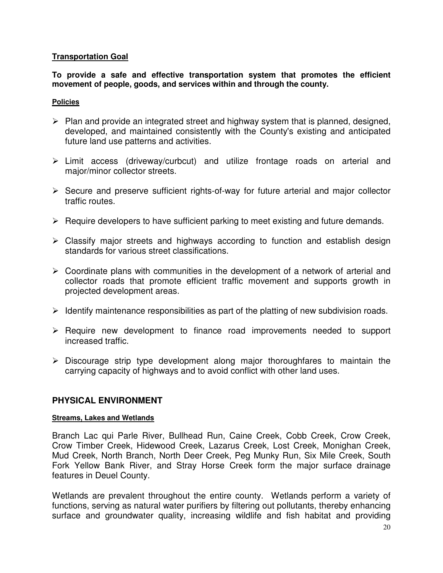## **Transportation Goal**

**To provide a safe and effective transportation system that promotes the efficient movement of people, goods, and services within and through the county.**

#### **Policies**

- $\triangleright$  Plan and provide an integrated street and highway system that is planned, designed, developed, and maintained consistently with the County's existing and anticipated future land use patterns and activities.
- Limit access (driveway/curbcut) and utilize frontage roads on arterial and major/minor collector streets.
- $\triangleright$  Secure and preserve sufficient rights-of-way for future arterial and major collector traffic routes.
- $\triangleright$  Require developers to have sufficient parking to meet existing and future demands.
- $\triangleright$  Classify major streets and highways according to function and establish design standards for various street classifications.
- $\triangleright$  Coordinate plans with communities in the development of a network of arterial and collector roads that promote efficient traffic movement and supports growth in projected development areas.
- $\triangleright$  Identify maintenance responsibilities as part of the platting of new subdivision roads.
- $\triangleright$  Require new development to finance road improvements needed to support increased traffic.
- $\triangleright$  Discourage strip type development along major thoroughfares to maintain the carrying capacity of highways and to avoid conflict with other land uses.

# **PHYSICAL ENVIRONMENT**

### **Streams, Lakes and Wetlands**

Branch Lac qui Parle River, Bullhead Run, Caine Creek, Cobb Creek, Crow Creek, Crow Timber Creek, Hidewood Creek, Lazarus Creek, Lost Creek, Monighan Creek, Mud Creek, North Branch, North Deer Creek, Peg Munky Run, Six Mile Creek, South Fork Yellow Bank River, and Stray Horse Creek form the major surface drainage features in Deuel County.

Wetlands are prevalent throughout the entire county. Wetlands perform a variety of functions, serving as natural water purifiers by filtering out pollutants, thereby enhancing surface and groundwater quality, increasing wildlife and fish habitat and providing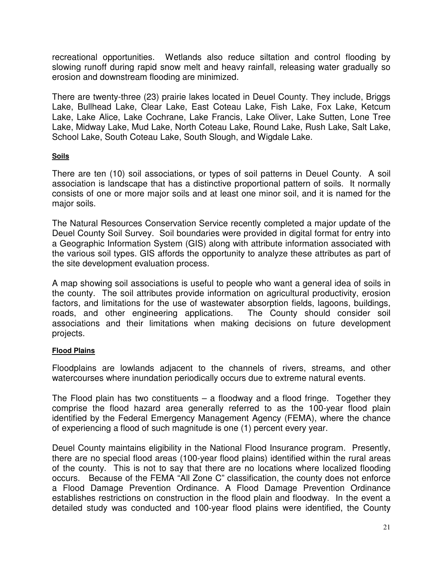recreational opportunities. Wetlands also reduce siltation and control flooding by slowing runoff during rapid snow melt and heavy rainfall, releasing water gradually so erosion and downstream flooding are minimized.

There are twenty-three (23) prairie lakes located in Deuel County. They include, Briggs Lake, Bullhead Lake, Clear Lake, East Coteau Lake, Fish Lake, Fox Lake, Ketcum Lake, Lake Alice, Lake Cochrane, Lake Francis, Lake Oliver, Lake Sutten, Lone Tree Lake, Midway Lake, Mud Lake, North Coteau Lake, Round Lake, Rush Lake, Salt Lake, School Lake, South Coteau Lake, South Slough, and Wigdale Lake.

### **Soils**

There are ten (10) soil associations, or types of soil patterns in Deuel County. A soil association is landscape that has a distinctive proportional pattern of soils. It normally consists of one or more major soils and at least one minor soil, and it is named for the major soils.

The Natural Resources Conservation Service recently completed a major update of the Deuel County Soil Survey. Soil boundaries were provided in digital format for entry into a Geographic Information System (GIS) along with attribute information associated with the various soil types. GIS affords the opportunity to analyze these attributes as part of the site development evaluation process.

A map showing soil associations is useful to people who want a general idea of soils in the county. The soil attributes provide information on agricultural productivity, erosion factors, and limitations for the use of wastewater absorption fields, lagoons, buildings, roads, and other engineering applications. The County should consider soil associations and their limitations when making decisions on future development projects.

### **Flood Plains**

Floodplains are lowlands adjacent to the channels of rivers, streams, and other watercourses where inundation periodically occurs due to extreme natural events.

The Flood plain has two constituents  $-$  a floodway and a flood fringe. Together they comprise the flood hazard area generally referred to as the 100-year flood plain identified by the Federal Emergency Management Agency (FEMA), where the chance of experiencing a flood of such magnitude is one (1) percent every year.

Deuel County maintains eligibility in the National Flood Insurance program. Presently, there are no special flood areas (100-year flood plains) identified within the rural areas of the county. This is not to say that there are no locations where localized flooding occurs. Because of the FEMA "All Zone C" classification, the county does not enforce a Flood Damage Prevention Ordinance. A Flood Damage Prevention Ordinance establishes restrictions on construction in the flood plain and floodway. In the event a detailed study was conducted and 100-year flood plains were identified, the County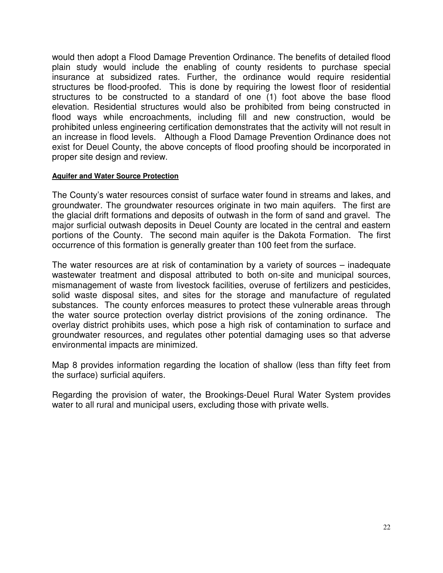would then adopt a Flood Damage Prevention Ordinance. The benefits of detailed flood plain study would include the enabling of county residents to purchase special insurance at subsidized rates. Further, the ordinance would require residential structures be flood-proofed. This is done by requiring the lowest floor of residential structures to be constructed to a standard of one (1) foot above the base flood elevation. Residential structures would also be prohibited from being constructed in flood ways while encroachments, including fill and new construction, would be prohibited unless engineering certification demonstrates that the activity will not result in an increase in flood levels. Although a Flood Damage Prevention Ordinance does not exist for Deuel County, the above concepts of flood proofing should be incorporated in proper site design and review.

#### **Aquifer and Water Source Protection**

The County's water resources consist of surface water found in streams and lakes, and groundwater. The groundwater resources originate in two main aquifers. The first are the glacial drift formations and deposits of outwash in the form of sand and gravel. The major surficial outwash deposits in Deuel County are located in the central and eastern portions of the County. The second main aquifer is the Dakota Formation. The first occurrence of this formation is generally greater than 100 feet from the surface.

The water resources are at risk of contamination by a variety of sources – inadequate wastewater treatment and disposal attributed to both on-site and municipal sources, mismanagement of waste from livestock facilities, overuse of fertilizers and pesticides, solid waste disposal sites, and sites for the storage and manufacture of regulated substances. The county enforces measures to protect these vulnerable areas through the water source protection overlay district provisions of the zoning ordinance. The overlay district prohibits uses, which pose a high risk of contamination to surface and groundwater resources, and regulates other potential damaging uses so that adverse environmental impacts are minimized.

Map 8 provides information regarding the location of shallow (less than fifty feet from the surface) surficial aquifers.

Regarding the provision of water, the Brookings-Deuel Rural Water System provides water to all rural and municipal users, excluding those with private wells.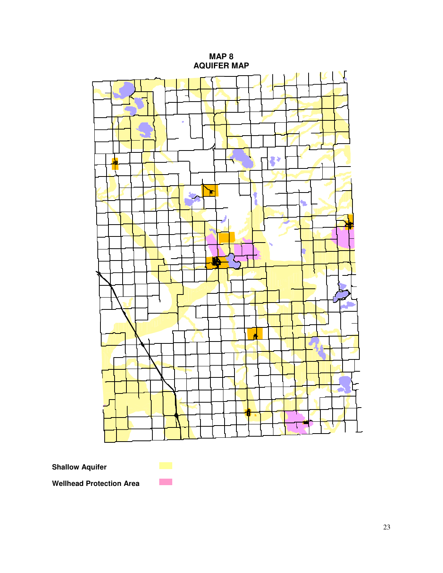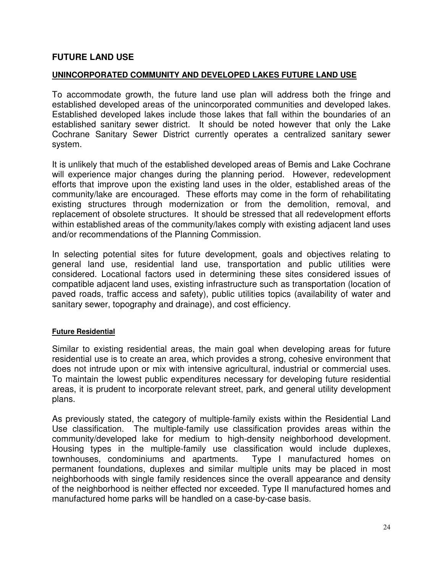## **FUTURE LAND USE**

### **UNINCORPORATED COMMUNITY AND DEVELOPED LAKES FUTURE LAND USE**

To accommodate growth, the future land use plan will address both the fringe and established developed areas of the unincorporated communities and developed lakes. Established developed lakes include those lakes that fall within the boundaries of an established sanitary sewer district. It should be noted however that only the Lake Cochrane Sanitary Sewer District currently operates a centralized sanitary sewer system.

It is unlikely that much of the established developed areas of Bemis and Lake Cochrane will experience major changes during the planning period. However, redevelopment efforts that improve upon the existing land uses in the older, established areas of the community/lake are encouraged. These efforts may come in the form of rehabilitating existing structures through modernization or from the demolition, removal, and replacement of obsolete structures. It should be stressed that all redevelopment efforts within established areas of the community/lakes comply with existing adjacent land uses and/or recommendations of the Planning Commission.

In selecting potential sites for future development, goals and objectives relating to general land use, residential land use, transportation and public utilities were considered. Locational factors used in determining these sites considered issues of compatible adjacent land uses, existing infrastructure such as transportation (location of paved roads, traffic access and safety), public utilities topics (availability of water and sanitary sewer, topography and drainage), and cost efficiency.

#### **Future Residential**

Similar to existing residential areas, the main goal when developing areas for future residential use is to create an area, which provides a strong, cohesive environment that does not intrude upon or mix with intensive agricultural, industrial or commercial uses. To maintain the lowest public expenditures necessary for developing future residential areas, it is prudent to incorporate relevant street, park, and general utility development plans.

As previously stated, the category of multiple-family exists within the Residential Land Use classification. The multiple-family use classification provides areas within the community/developed lake for medium to high-density neighborhood development. Housing types in the multiple-family use classification would include duplexes, townhouses, condominiums and apartments. Type I manufactured homes on permanent foundations, duplexes and similar multiple units may be placed in most neighborhoods with single family residences since the overall appearance and density of the neighborhood is neither effected nor exceeded. Type II manufactured homes and manufactured home parks will be handled on a case-by-case basis.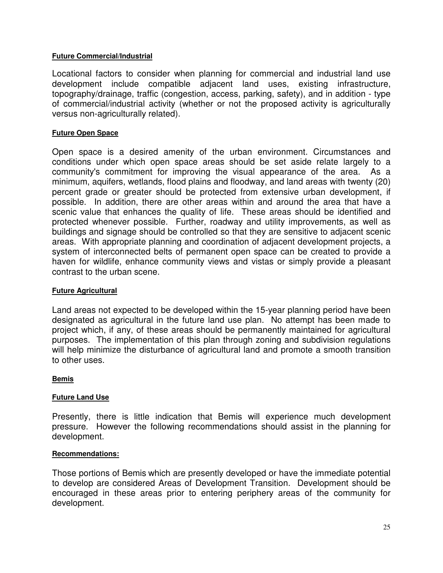### **Future Commercial/Industrial**

Locational factors to consider when planning for commercial and industrial land use development include compatible adjacent land uses, existing infrastructure, topography/drainage, traffic (congestion, access, parking, safety), and in addition - type of commercial/industrial activity (whether or not the proposed activity is agriculturally versus non-agriculturally related).

### **Future Open Space**

Open space is a desired amenity of the urban environment. Circumstances and conditions under which open space areas should be set aside relate largely to a community's commitment for improving the visual appearance of the area. As a minimum, aquifers, wetlands, flood plains and floodway, and land areas with twenty (20) percent grade or greater should be protected from extensive urban development, if possible. In addition, there are other areas within and around the area that have a scenic value that enhances the quality of life. These areas should be identified and protected whenever possible. Further, roadway and utility improvements, as well as buildings and signage should be controlled so that they are sensitive to adjacent scenic areas. With appropriate planning and coordination of adjacent development projects, a system of interconnected belts of permanent open space can be created to provide a haven for wildlife, enhance community views and vistas or simply provide a pleasant contrast to the urban scene.

### **Future Agricultural**

Land areas not expected to be developed within the 15-year planning period have been designated as agricultural in the future land use plan. No attempt has been made to project which, if any, of these areas should be permanently maintained for agricultural purposes. The implementation of this plan through zoning and subdivision regulations will help minimize the disturbance of agricultural land and promote a smooth transition to other uses.

#### **Bemis**

#### **Future Land Use**

Presently, there is little indication that Bemis will experience much development pressure. However the following recommendations should assist in the planning for development.

#### **Recommendations:**

Those portions of Bemis which are presently developed or have the immediate potential to develop are considered Areas of Development Transition. Development should be encouraged in these areas prior to entering periphery areas of the community for development.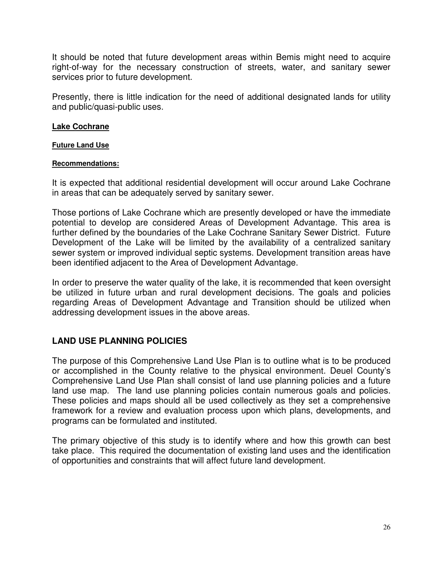It should be noted that future development areas within Bemis might need to acquire right-of-way for the necessary construction of streets, water, and sanitary sewer services prior to future development.

Presently, there is little indication for the need of additional designated lands for utility and public/quasi-public uses.

### **Lake Cochrane**

#### **Future Land Use**

#### **Recommendations:**

It is expected that additional residential development will occur around Lake Cochrane in areas that can be adequately served by sanitary sewer.

Those portions of Lake Cochrane which are presently developed or have the immediate potential to develop are considered Areas of Development Advantage. This area is further defined by the boundaries of the Lake Cochrane Sanitary Sewer District. Future Development of the Lake will be limited by the availability of a centralized sanitary sewer system or improved individual septic systems. Development transition areas have been identified adjacent to the Area of Development Advantage.

In order to preserve the water quality of the lake, it is recommended that keen oversight be utilized in future urban and rural development decisions. The goals and policies regarding Areas of Development Advantage and Transition should be utilized when addressing development issues in the above areas.

### **LAND USE PLANNING POLICIES**

The purpose of this Comprehensive Land Use Plan is to outline what is to be produced or accomplished in the County relative to the physical environment. Deuel County's Comprehensive Land Use Plan shall consist of land use planning policies and a future land use map. The land use planning policies contain numerous goals and policies. These policies and maps should all be used collectively as they set a comprehensive framework for a review and evaluation process upon which plans, developments, and programs can be formulated and instituted.

The primary objective of this study is to identify where and how this growth can best take place. This required the documentation of existing land uses and the identification of opportunities and constraints that will affect future land development.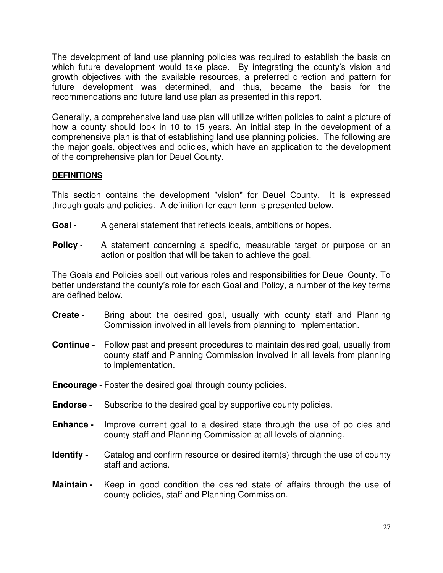The development of land use planning policies was required to establish the basis on which future development would take place. By integrating the county's vision and growth objectives with the available resources, a preferred direction and pattern for future development was determined, and thus, became the basis for the recommendations and future land use plan as presented in this report.

Generally, a comprehensive land use plan will utilize written policies to paint a picture of how a county should look in 10 to 15 years. An initial step in the development of a comprehensive plan is that of establishing land use planning policies. The following are the major goals, objectives and policies, which have an application to the development of the comprehensive plan for Deuel County.

## **DEFINITIONS**

This section contains the development "vision" for Deuel County. It is expressed through goals and policies. A definition for each term is presented below.

- **Goal** A general statement that reflects ideals, ambitions or hopes.
- **Policy** A statement concerning a specific, measurable target or purpose or an action or position that will be taken to achieve the goal.

The Goals and Policies spell out various roles and responsibilities for Deuel County. To better understand the county's role for each Goal and Policy, a number of the key terms are defined below.

- **Create -** Bring about the desired goal, usually with county staff and Planning Commission involved in all levels from planning to implementation.
- **Continue -** Follow past and present procedures to maintain desired goal, usually from county staff and Planning Commission involved in all levels from planning to implementation.
- **Encourage -** Foster the desired goal through county policies.
- **Endorse -** Subscribe to the desired goal by supportive county policies.
- **Enhance -** Improve current goal to a desired state through the use of policies and county staff and Planning Commission at all levels of planning.
- **Identify -** Catalog and confirm resource or desired item(s) through the use of county staff and actions.
- **Maintain -** Keep in good condition the desired state of affairs through the use of county policies, staff and Planning Commission.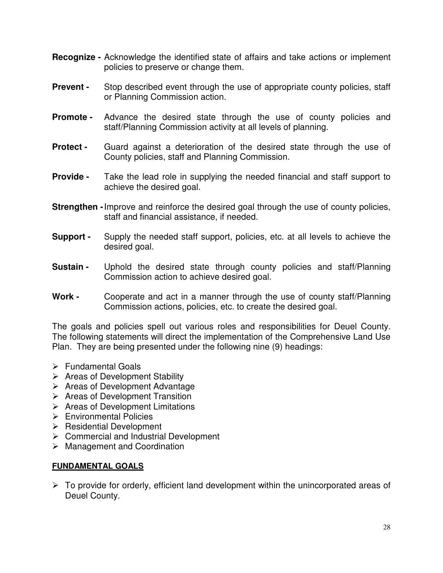- **Recognize -** Acknowledge the identified state of affairs and take actions or implement policies to preserve or change them.
- **Prevent -** Stop described event through the use of appropriate county policies, staff or Planning Commission action.
- **Promote** Advance the desired state through the use of county policies and staff/Planning Commission activity at all levels of planning.
- **Protect -** Guard against a deterioration of the desired state through the use of County policies, staff and Planning Commission.
- **Provide -** Take the lead role in supplying the needed financial and staff support to achieve the desired goal.
- **Strengthen -**Improve and reinforce the desired goal through the use of county policies, staff and financial assistance, if needed.
- **Support -** Supply the needed staff support, policies, etc. at all levels to achieve the desired goal.
- **Sustain -** Uphold the desired state through county policies and staff/Planning Commission action to achieve desired goal.
- **Work -** Cooperate and act in a manner through the use of county staff/Planning Commission actions, policies, etc. to create the desired goal.

The goals and policies spell out various roles and responsibilities for Deuel County. The following statements will direct the implementation of the Comprehensive Land Use Plan. They are being presented under the following nine (9) headings:

- $\triangleright$  Fundamental Goals
- $\triangleright$  Areas of Development Stability
- $\triangleright$  Areas of Development Advantage
- $\triangleright$  Areas of Development Transition
- $\triangleright$  Areas of Development Limitations
- $\triangleright$  Environmental Policies
- $\triangleright$  Residential Development
- $\triangleright$  Commercial and Industrial Development
- Management and Coordination

### **FUNDAMENTAL GOALS**

 $\triangleright$  To provide for orderly, efficient land development within the unincorporated areas of Deuel County.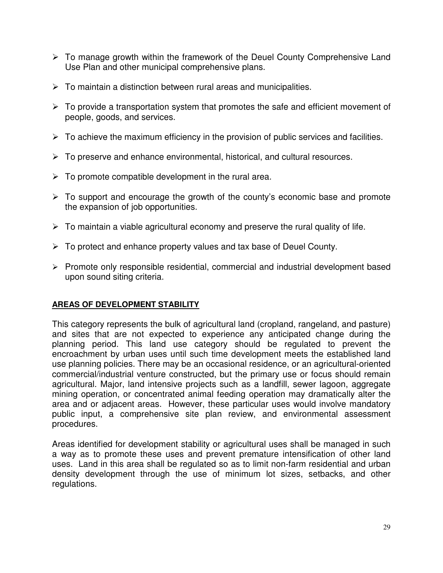- $\triangleright$  To manage growth within the framework of the Deuel County Comprehensive Land Use Plan and other municipal comprehensive plans.
- $\triangleright$  To maintain a distinction between rural areas and municipalities.
- $\triangleright$  To provide a transportation system that promotes the safe and efficient movement of people, goods, and services.
- $\triangleright$  To achieve the maximum efficiency in the provision of public services and facilities.
- $\triangleright$  To preserve and enhance environmental, historical, and cultural resources.
- $\triangleright$  To promote compatible development in the rural area.
- $\triangleright$  To support and encourage the growth of the county's economic base and promote the expansion of job opportunities.
- $\triangleright$  To maintain a viable agricultural economy and preserve the rural quality of life.
- $\triangleright$  To protect and enhance property values and tax base of Deuel County.
- $\triangleright$  Promote only responsible residential, commercial and industrial development based upon sound siting criteria.

### **AREAS OF DEVELOPMENT STABILITY**

This category represents the bulk of agricultural land (cropland, rangeland, and pasture) and sites that are not expected to experience any anticipated change during the planning period. This land use category should be regulated to prevent the encroachment by urban uses until such time development meets the established land use planning policies. There may be an occasional residence, or an agricultural-oriented commercial/industrial venture constructed, but the primary use or focus should remain agricultural. Major, land intensive projects such as a landfill, sewer lagoon, aggregate mining operation, or concentrated animal feeding operation may dramatically alter the area and or adjacent areas. However, these particular uses would involve mandatory public input, a comprehensive site plan review, and environmental assessment procedures.

Areas identified for development stability or agricultural uses shall be managed in such a way as to promote these uses and prevent premature intensification of other land uses. Land in this area shall be regulated so as to limit non-farm residential and urban density development through the use of minimum lot sizes, setbacks, and other regulations.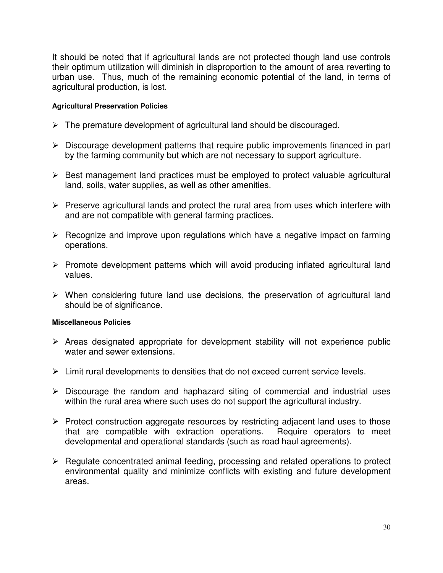It should be noted that if agricultural lands are not protected though land use controls their optimum utilization will diminish in disproportion to the amount of area reverting to urban use. Thus, much of the remaining economic potential of the land, in terms of agricultural production, is lost.

### **Agricultural Preservation Policies**

- $\triangleright$  The premature development of agricultural land should be discouraged.
- $\triangleright$  Discourage development patterns that require public improvements financed in part by the farming community but which are not necessary to support agriculture.
- $\triangleright$  Best management land practices must be employed to protect valuable agricultural land, soils, water supplies, as well as other amenities.
- $\triangleright$  Preserve agricultural lands and protect the rural area from uses which interfere with and are not compatible with general farming practices.
- $\triangleright$  Recognize and improve upon regulations which have a negative impact on farming operations.
- $\triangleright$  Promote development patterns which will avoid producing inflated agricultural land values.
- $\triangleright$  When considering future land use decisions, the preservation of agricultural land should be of significance.

#### **Miscellaneous Policies**

- $\triangleright$  Areas designated appropriate for development stability will not experience public water and sewer extensions.
- $\triangleright$  Limit rural developments to densities that do not exceed current service levels.
- $\triangleright$  Discourage the random and haphazard siting of commercial and industrial uses within the rural area where such uses do not support the agricultural industry.
- $\triangleright$  Protect construction aggregate resources by restricting adjacent land uses to those that are compatible with extraction operations. Require operators to meet developmental and operational standards (such as road haul agreements).
- $\triangleright$  Regulate concentrated animal feeding, processing and related operations to protect environmental quality and minimize conflicts with existing and future development areas.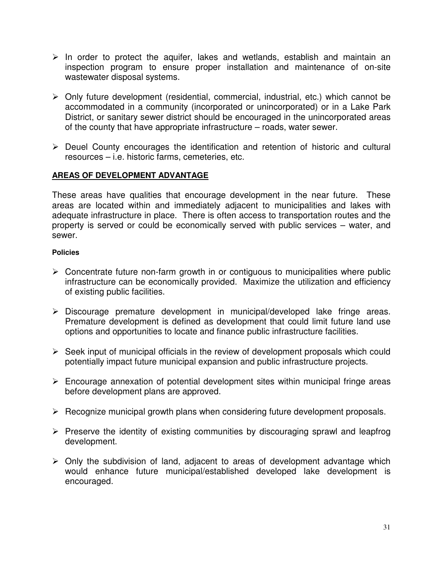- $\triangleright$  In order to protect the aquifer, lakes and wetlands, establish and maintain an inspection program to ensure proper installation and maintenance of on-site wastewater disposal systems.
- $\triangleright$  Only future development (residential, commercial, industrial, etc.) which cannot be accommodated in a community (incorporated or unincorporated) or in a Lake Park District, or sanitary sewer district should be encouraged in the unincorporated areas of the county that have appropriate infrastructure – roads, water sewer.
- $\triangleright$  Deuel County encourages the identification and retention of historic and cultural resources – i.e. historic farms, cemeteries, etc.

## **AREAS OF DEVELOPMENT ADVANTAGE**

These areas have qualities that encourage development in the near future. These areas are located within and immediately adjacent to municipalities and lakes with adequate infrastructure in place. There is often access to transportation routes and the property is served or could be economically served with public services – water, and sewer.

#### **Policies**

- $\triangleright$  Concentrate future non-farm growth in or contiguous to municipalities where public infrastructure can be economically provided. Maximize the utilization and efficiency of existing public facilities.
- $\triangleright$  Discourage premature development in municipal/developed lake fringe areas. Premature development is defined as development that could limit future land use options and opportunities to locate and finance public infrastructure facilities.
- $\triangleright$  Seek input of municipal officials in the review of development proposals which could potentially impact future municipal expansion and public infrastructure projects.
- $\triangleright$  Encourage annexation of potential development sites within municipal fringe areas before development plans are approved.
- $\triangleright$  Recognize municipal growth plans when considering future development proposals.
- $\triangleright$  Preserve the identity of existing communities by discouraging sprawl and leapfrog development.
- $\triangleright$  Only the subdivision of land, adjacent to areas of development advantage which would enhance future municipal/established developed lake development is encouraged.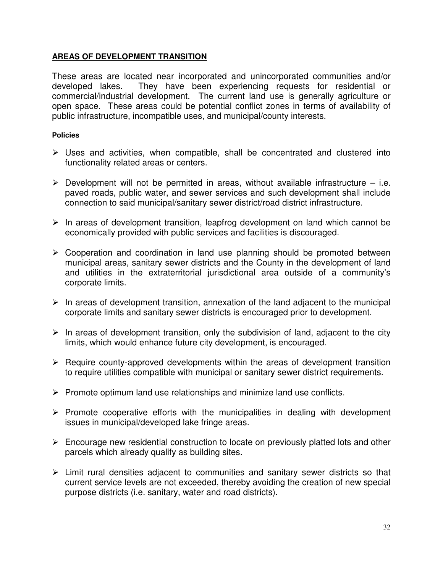### **AREAS OF DEVELOPMENT TRANSITION**

These areas are located near incorporated and unincorporated communities and/or developed lakes. They have been experiencing requests for residential or commercial/industrial development. The current land use is generally agriculture or open space. These areas could be potential conflict zones in terms of availability of public infrastructure, incompatible uses, and municipal/county interests.

### **Policies**

- $\triangleright$  Uses and activities, when compatible, shall be concentrated and clustered into functionality related areas or centers.
- $\triangleright$  Development will not be permitted in areas, without available infrastructure i.e. paved roads, public water, and sewer services and such development shall include connection to said municipal/sanitary sewer district/road district infrastructure.
- $\triangleright$  In areas of development transition, leapfrog development on land which cannot be economically provided with public services and facilities is discouraged.
- $\triangleright$  Cooperation and coordination in land use planning should be promoted between municipal areas, sanitary sewer districts and the County in the development of land and utilities in the extraterritorial jurisdictional area outside of a community's corporate limits.
- $\triangleright$  In areas of development transition, annexation of the land adjacent to the municipal corporate limits and sanitary sewer districts is encouraged prior to development.
- $\triangleright$  In areas of development transition, only the subdivision of land, adjacent to the city limits, which would enhance future city development, is encouraged.
- $\triangleright$  Require county-approved developments within the areas of development transition to require utilities compatible with municipal or sanitary sewer district requirements.
- $\triangleright$  Promote optimum land use relationships and minimize land use conflicts.
- $\triangleright$  Promote cooperative efforts with the municipalities in dealing with development issues in municipal/developed lake fringe areas.
- $\triangleright$  Encourage new residential construction to locate on previously platted lots and other parcels which already qualify as building sites.
- $\triangleright$  Limit rural densities adjacent to communities and sanitary sewer districts so that current service levels are not exceeded, thereby avoiding the creation of new special purpose districts (i.e. sanitary, water and road districts).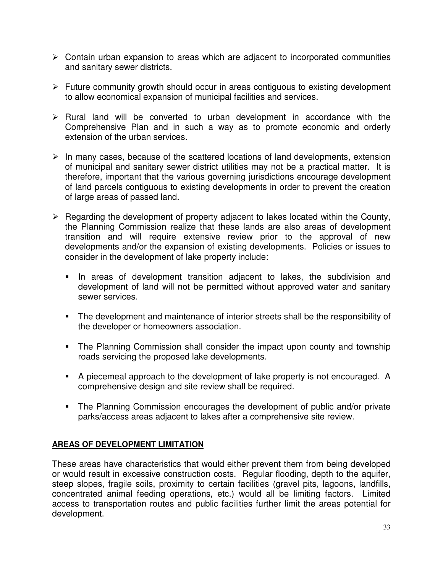- $\triangleright$  Contain urban expansion to areas which are adjacent to incorporated communities and sanitary sewer districts.
- $\triangleright$  Future community growth should occur in areas contiguous to existing development to allow economical expansion of municipal facilities and services.
- $\triangleright$  Rural land will be converted to urban development in accordance with the Comprehensive Plan and in such a way as to promote economic and orderly extension of the urban services.
- $\triangleright$  In many cases, because of the scattered locations of land developments, extension of municipal and sanitary sewer district utilities may not be a practical matter. It is therefore, important that the various governing jurisdictions encourage development of land parcels contiguous to existing developments in order to prevent the creation of large areas of passed land.
- $\triangleright$  Regarding the development of property adjacent to lakes located within the County, the Planning Commission realize that these lands are also areas of development transition and will require extensive review prior to the approval of new developments and/or the expansion of existing developments. Policies or issues to consider in the development of lake property include:
	- In areas of development transition adjacent to lakes, the subdivision and development of land will not be permitted without approved water and sanitary sewer services.
	- **The development and maintenance of interior streets shall be the responsibility of** the developer or homeowners association.
	- **The Planning Commission shall consider the impact upon county and township** roads servicing the proposed lake developments.
	- A piecemeal approach to the development of lake property is not encouraged. A comprehensive design and site review shall be required.
	- **The Planning Commission encourages the development of public and/or private** parks/access areas adjacent to lakes after a comprehensive site review.

# **AREAS OF DEVELOPMENT LIMITATION**

These areas have characteristics that would either prevent them from being developed or would result in excessive construction costs. Regular flooding, depth to the aquifer, steep slopes, fragile soils, proximity to certain facilities (gravel pits, lagoons, landfills, concentrated animal feeding operations, etc.) would all be limiting factors. Limited access to transportation routes and public facilities further limit the areas potential for development.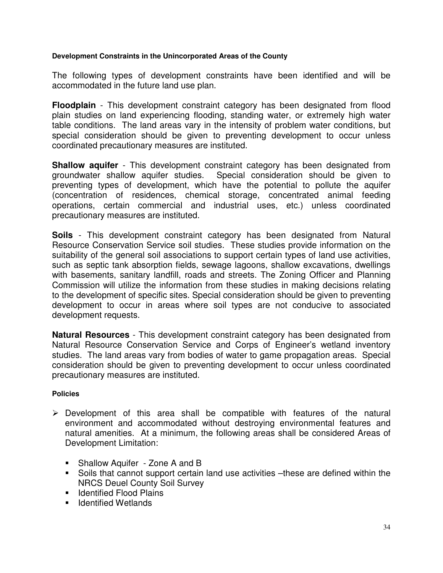### **Development Constraints in the Unincorporated Areas of the County**

The following types of development constraints have been identified and will be accommodated in the future land use plan.

**Floodplain** - This development constraint category has been designated from flood plain studies on land experiencing flooding, standing water, or extremely high water table conditions. The land areas vary in the intensity of problem water conditions, but special consideration should be given to preventing development to occur unless coordinated precautionary measures are instituted.

**Shallow aquifer** - This development constraint category has been designated from groundwater shallow aquifer studies. Special consideration should be given to preventing types of development, which have the potential to pollute the aquifer (concentration of residences, chemical storage, concentrated animal feeding operations, certain commercial and industrial uses, etc.) unless coordinated precautionary measures are instituted.

**Soils** - This development constraint category has been designated from Natural Resource Conservation Service soil studies. These studies provide information on the suitability of the general soil associations to support certain types of land use activities, such as septic tank absorption fields, sewage lagoons, shallow excavations, dwellings with basements, sanitary landfill, roads and streets. The Zoning Officer and Planning Commission will utilize the information from these studies in making decisions relating to the development of specific sites. Special consideration should be given to preventing development to occur in areas where soil types are not conducive to associated development requests.

**Natural Resources** - This development constraint category has been designated from Natural Resource Conservation Service and Corps of Engineer's wetland inventory studies. The land areas vary from bodies of water to game propagation areas. Special consideration should be given to preventing development to occur unless coordinated precautionary measures are instituted.

#### **Policies**

- $\triangleright$  Development of this area shall be compatible with features of the natural environment and accommodated without destroying environmental features and natural amenities. At a minimum, the following areas shall be considered Areas of Development Limitation:
	- **Shallow Aquifer Zone A and B**
	- **Soils that cannot support certain land use activities -these are defined within the** NRCS Deuel County Soil Survey
	- **E** Identified Flood Plains
	- **E** Identified Wetlands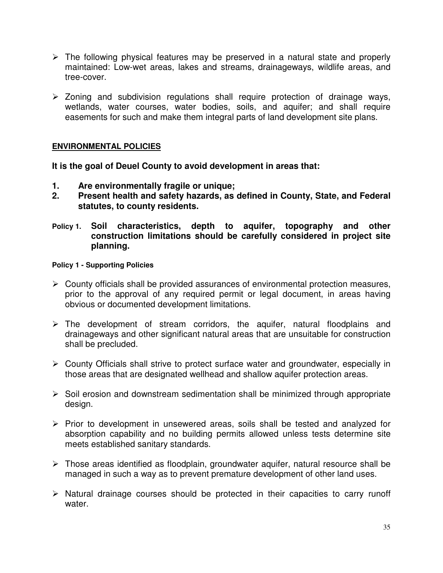- $\triangleright$  The following physical features may be preserved in a natural state and properly maintained: Low-wet areas, lakes and streams, drainageways, wildlife areas, and tree-cover.
- $\geq$  Zoning and subdivision regulations shall require protection of drainage ways, wetlands, water courses, water bodies, soils, and aquifer; and shall require easements for such and make them integral parts of land development site plans.

### **ENVIRONMENTAL POLICIES**

**It is the goal of Deuel County to avoid development in areas that:**

- **1. Are environmentally fragile or unique;**
- **2. Present health and safety hazards, as defined in County, State, and Federal statutes, to county residents.**
- **Policy 1. Soil characteristics, depth to aquifer, topography and other construction limitations should be carefully considered in project site planning.**

#### **Policy 1 - Supporting Policies**

- $\triangleright$  County officials shall be provided assurances of environmental protection measures, prior to the approval of any required permit or legal document, in areas having obvious or documented development limitations.
- $\triangleright$  The development of stream corridors, the aquifer, natural floodplains and drainageways and other significant natural areas that are unsuitable for construction shall be precluded.
- County Officials shall strive to protect surface water and groundwater, especially in those areas that are designated wellhead and shallow aquifer protection areas.
- $\triangleright$  Soil erosion and downstream sedimentation shall be minimized through appropriate design.
- $\triangleright$  Prior to development in unsewered areas, soils shall be tested and analyzed for absorption capability and no building permits allowed unless tests determine site meets established sanitary standards.
- $\triangleright$  Those areas identified as floodplain, groundwater aquifer, natural resource shall be managed in such a way as to prevent premature development of other land uses.
- $\triangleright$  Natural drainage courses should be protected in their capacities to carry runoff water.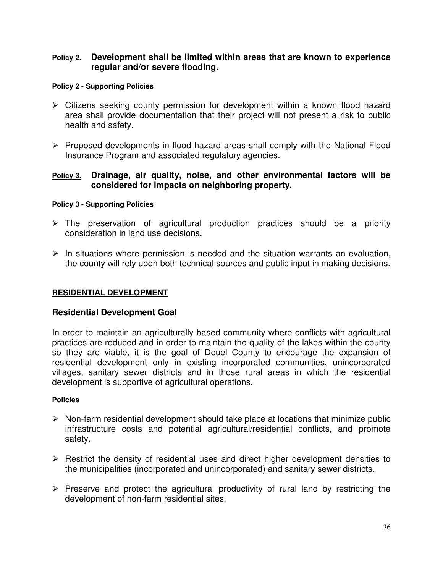### **Policy 2. Development shall be limited within areas that are known to experience regular and/or severe flooding.**

#### **Policy 2 - Supporting Policies**

- $\triangleright$  Citizens seeking county permission for development within a known flood hazard area shall provide documentation that their project will not present a risk to public health and safety.
- $\triangleright$  Proposed developments in flood hazard areas shall comply with the National Flood Insurance Program and associated regulatory agencies.

## **Policy 3. Drainage, air quality, noise, and other environmental factors will be considered for impacts on neighboring property.**

#### **Policy 3 - Supporting Policies**

- $\triangleright$  The preservation of agricultural production practices should be a priority consideration in land use decisions.
- $\triangleright$  In situations where permission is needed and the situation warrants an evaluation, the county will rely upon both technical sources and public input in making decisions.

### **RESIDENTIAL DEVELOPMENT**

### **Residential Development Goal**

In order to maintain an agriculturally based community where conflicts with agricultural practices are reduced and in order to maintain the quality of the lakes within the county so they are viable, it is the goal of Deuel County to encourage the expansion of residential development only in existing incorporated communities, unincorporated villages, sanitary sewer districts and in those rural areas in which the residential development is supportive of agricultural operations.

#### **Policies**

- $\triangleright$  Non-farm residential development should take place at locations that minimize public infrastructure costs and potential agricultural/residential conflicts, and promote safety.
- $\triangleright$  Restrict the density of residential uses and direct higher development densities to the municipalities (incorporated and unincorporated) and sanitary sewer districts.
- $\triangleright$  Preserve and protect the agricultural productivity of rural land by restricting the development of non-farm residential sites.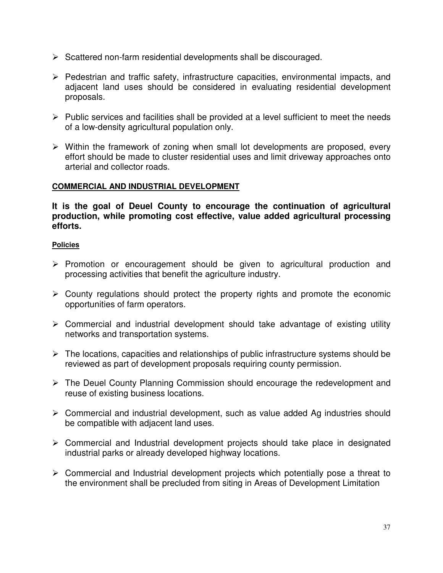- $\triangleright$  Scattered non-farm residential developments shall be discouraged.
- $\triangleright$  Pedestrian and traffic safety, infrastructure capacities, environmental impacts, and adjacent land uses should be considered in evaluating residential development proposals.
- $\triangleright$  Public services and facilities shall be provided at a level sufficient to meet the needs of a low-density agricultural population only.
- $\triangleright$  Within the framework of zoning when small lot developments are proposed, every effort should be made to cluster residential uses and limit driveway approaches onto arterial and collector roads.

### **COMMERCIAL AND INDUSTRIAL DEVELOPMENT**

**It is the goal of Deuel County to encourage the continuation of agricultural production, while promoting cost effective, value added agricultural processing efforts.**

#### **Policies**

- $\triangleright$  Promotion or encouragement should be given to agricultural production and processing activities that benefit the agriculture industry.
- $\triangleright$  County regulations should protect the property rights and promote the economic opportunities of farm operators.
- $\triangleright$  Commercial and industrial development should take advantage of existing utility networks and transportation systems.
- $\triangleright$  The locations, capacities and relationships of public infrastructure systems should be reviewed as part of development proposals requiring county permission.
- $\triangleright$  The Deuel County Planning Commission should encourage the redevelopment and reuse of existing business locations.
- $\triangleright$  Commercial and industrial development, such as value added Ag industries should be compatible with adjacent land uses.
- Commercial and Industrial development projects should take place in designated industrial parks or already developed highway locations.
- $\triangleright$  Commercial and Industrial development projects which potentially pose a threat to the environment shall be precluded from siting in Areas of Development Limitation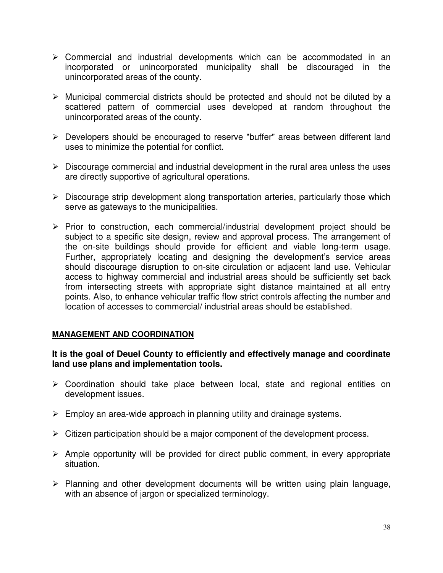- $\triangleright$  Commercial and industrial developments which can be accommodated in an incorporated or unincorporated municipality shall be discouraged in the unincorporated areas of the county.
- Municipal commercial districts should be protected and should not be diluted by a scattered pattern of commercial uses developed at random throughout the unincorporated areas of the county.
- Developers should be encouraged to reserve "buffer" areas between different land uses to minimize the potential for conflict.
- $\triangleright$  Discourage commercial and industrial development in the rural area unless the uses are directly supportive of agricultural operations.
- $\triangleright$  Discourage strip development along transportation arteries, particularly those which serve as gateways to the municipalities.
- $\triangleright$  Prior to construction, each commercial/industrial development project should be subject to a specific site design, review and approval process. The arrangement of the on-site buildings should provide for efficient and viable long-term usage. Further, appropriately locating and designing the development's service areas should discourage disruption to on-site circulation or adjacent land use. Vehicular access to highway commercial and industrial areas should be sufficiently set back from intersecting streets with appropriate sight distance maintained at all entry points. Also, to enhance vehicular traffic flow strict controls affecting the number and location of accesses to commercial/ industrial areas should be established.

### **MANAGEMENT AND COORDINATION**

### **It is the goal of Deuel County to efficiently and effectively manage and coordinate land use plans and implementation tools.**

- Coordination should take place between local, state and regional entities on development issues.
- $\triangleright$  Employ an area-wide approach in planning utility and drainage systems.
- $\triangleright$  Citizen participation should be a major component of the development process.
- $\triangleright$  Ample opportunity will be provided for direct public comment, in every appropriate situation.
- $\triangleright$  Planning and other development documents will be written using plain language, with an absence of jargon or specialized terminology.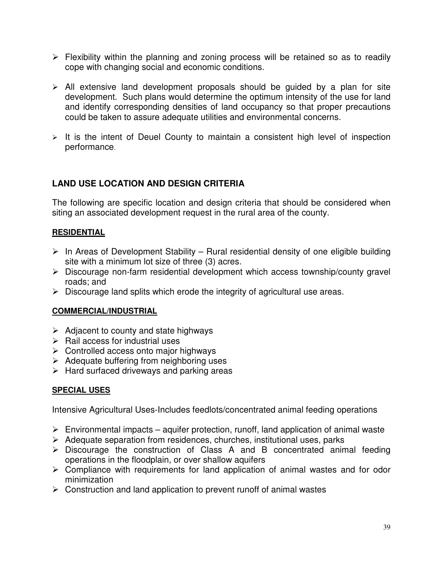- $\triangleright$  Flexibility within the planning and zoning process will be retained so as to readily cope with changing social and economic conditions.
- $\triangleright$  All extensive land development proposals should be guided by a plan for site development. Such plans would determine the optimum intensity of the use for land and identify corresponding densities of land occupancy so that proper precautions could be taken to assure adequate utilities and environmental concerns.
- $\triangleright$  It is the intent of Deuel County to maintain a consistent high level of inspection performance.

# **LAND USE LOCATION AND DESIGN CRITERIA**

The following are specific location and design criteria that should be considered when siting an associated development request in the rural area of the county.

## **RESIDENTIAL**

- $\triangleright$  In Areas of Development Stability Rural residential density of one eligible building site with a minimum lot size of three (3) acres.
- Discourage non-farm residential development which access township/county gravel roads; and
- $\triangleright$  Discourage land splits which erode the integrity of agricultural use areas.

### **COMMERCIAL/INDUSTRIAL**

- $\triangleright$  Adjacent to county and state highways
- $\triangleright$  Rail access for industrial uses
- $\triangleright$  Controlled access onto major highways
- $\triangleright$  Adequate buffering from neighboring uses
- $\triangleright$  Hard surfaced driveways and parking areas

# **SPECIAL USES**

Intensive Agricultural Uses-Includes feedlots/concentrated animal feeding operations

- $\triangleright$  Environmental impacts aquifer protection, runoff, land application of animal waste
- $\triangleright$  Adequate separation from residences, churches, institutional uses, parks
- $\triangleright$  Discourage the construction of Class A and B concentrated animal feeding operations in the floodplain, or over shallow aquifers
- $\triangleright$  Compliance with requirements for land application of animal wastes and for odor minimization
- $\triangleright$  Construction and land application to prevent runoff of animal wastes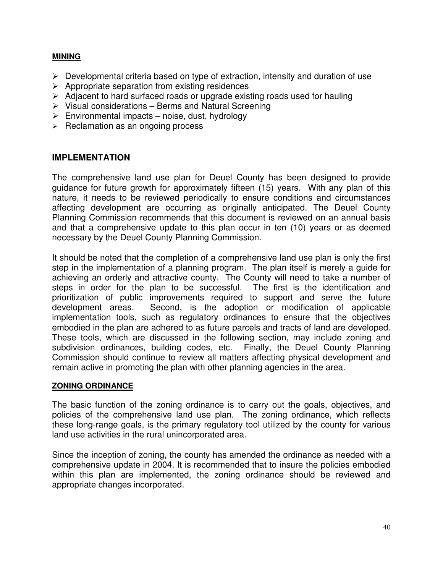## **MINING**

- $\triangleright$  Developmental criteria based on type of extraction, intensity and duration of use
- $\triangleright$  Appropriate separation from existing residences
- $\triangleright$  Adjacent to hard surfaced roads or upgrade existing roads used for hauling
- $\triangleright$  Visual considerations Berms and Natural Screening
- $\triangleright$  Environmental impacts noise, dust, hydrology
- $\triangleright$  Reclamation as an ongoing process

### **IMPLEMENTATION**

The comprehensive land use plan for Deuel County has been designed to provide guidance for future growth for approximately fifteen (15) years. With any plan of this nature, it needs to be reviewed periodically to ensure conditions and circumstances affecting development are occurring as originally anticipated. The Deuel County Planning Commission recommends that this document is reviewed on an annual basis and that a comprehensive update to this plan occur in ten (10) years or as deemed necessary by the Deuel County Planning Commission.

It should be noted that the completion of a comprehensive land use plan is only the first step in the implementation of a planning program. The plan itself is merely a guide for achieving an orderly and attractive county. The County will need to take a number of steps in order for the plan to be successful. The first is the identification and prioritization of public improvements required to support and serve the future development areas. Second, is the adoption or modification of applicable implementation tools, such as regulatory ordinances to ensure that the objectives embodied in the plan are adhered to as future parcels and tracts of land are developed. These tools, which are discussed in the following section, may include zoning and subdivision ordinances, building codes, etc. Finally, the Deuel County Planning Commission should continue to review all matters affecting physical development and remain active in promoting the plan with other planning agencies in the area.

### **ZONING ORDINANCE**

The basic function of the zoning ordinance is to carry out the goals, objectives, and policies of the comprehensive land use plan. The zoning ordinance, which reflects these long-range goals, is the primary regulatory tool utilized by the county for various land use activities in the rural unincorporated area.

Since the inception of zoning, the county has amended the ordinance as needed with a comprehensive update in 2004. It is recommended that to insure the policies embodied within this plan are implemented, the zoning ordinance should be reviewed and appropriate changes incorporated.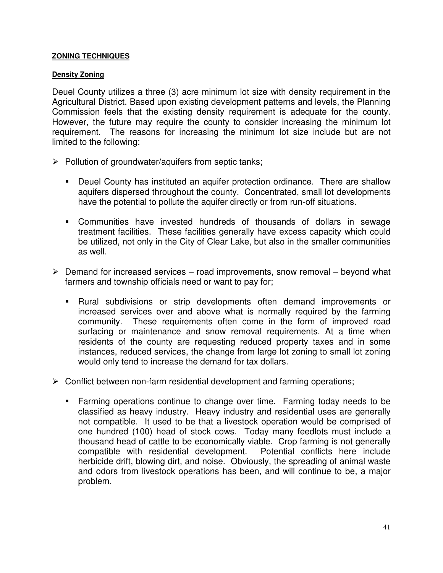### **ZONING TECHNIQUES**

### **Density Zoning**

Deuel County utilizes a three (3) acre minimum lot size with density requirement in the Agricultural District. Based upon existing development patterns and levels, the Planning Commission feels that the existing density requirement is adequate for the county. However, the future may require the county to consider increasing the minimum lot requirement. The reasons for increasing the minimum lot size include but are not limited to the following:

- $\triangleright$  Pollution of groundwater/aquifers from septic tanks;
	- - Deuel County has instituted an aquifer protection ordinance. There are shallow aquifers dispersed throughout the county. Concentrated, small lot developments have the potential to pollute the aquifer directly or from run-off situations.
	- Communities have invested hundreds of thousands of dollars in sewage treatment facilities. These facilities generally have excess capacity which could be utilized, not only in the City of Clear Lake, but also in the smaller communities as well.
- $\triangleright$  Demand for increased services road improvements, snow removal beyond what farmers and township officials need or want to pay for;
	- Rural subdivisions or strip developments often demand improvements or increased services over and above what is normally required by the farming community. These requirements often come in the form of improved road surfacing or maintenance and snow removal requirements. At a time when residents of the county are requesting reduced property taxes and in some instances, reduced services, the change from large lot zoning to small lot zoning would only tend to increase the demand for tax dollars.
- $\triangleright$  Conflict between non-farm residential development and farming operations;
	- **Farming operations continue to change over time. Farming today needs to be** classified as heavy industry. Heavy industry and residential uses are generally not compatible. It used to be that a livestock operation would be comprised of one hundred (100) head of stock cows. Today many feedlots must include a thousand head of cattle to be economically viable. Crop farming is not generally compatible with residential development. Potential conflicts here include herbicide drift, blowing dirt, and noise. Obviously, the spreading of animal waste and odors from livestock operations has been, and will continue to be, a major problem.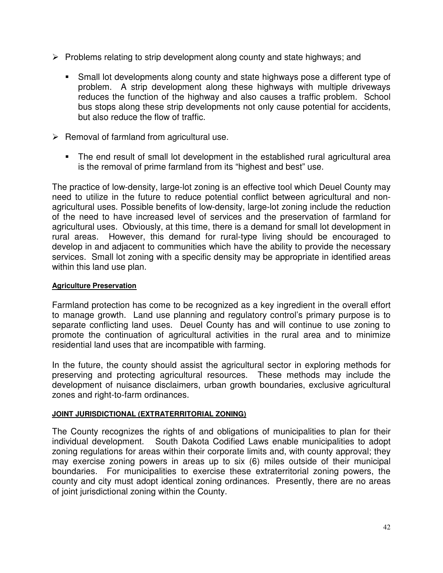- $\triangleright$  Problems relating to strip development along county and state highways; and
	- **Small lot developments along county and state highways pose a different type of** problem. A strip development along these highways with multiple driveways reduces the function of the highway and also causes a traffic problem. School bus stops along these strip developments not only cause potential for accidents, but also reduce the flow of traffic.
- $\triangleright$  Removal of farmland from agricultural use.
	- The end result of small lot development in the established rural agricultural area is the removal of prime farmland from its "highest and best" use.

The practice of low-density, large-lot zoning is an effective tool which Deuel County may need to utilize in the future to reduce potential conflict between agricultural and nonagricultural uses. Possible benefits of low-density, large-lot zoning include the reduction of the need to have increased level of services and the preservation of farmland for agricultural uses. Obviously, at this time, there is a demand for small lot development in rural areas. However, this demand for rural-type living should be encouraged to develop in and adjacent to communities which have the ability to provide the necessary services. Small lot zoning with a specific density may be appropriate in identified areas within this land use plan.

### **Agriculture Preservation**

Farmland protection has come to be recognized as a key ingredient in the overall effort to manage growth. Land use planning and regulatory control's primary purpose is to separate conflicting land uses. Deuel County has and will continue to use zoning to promote the continuation of agricultural activities in the rural area and to minimize residential land uses that are incompatible with farming.

In the future, the county should assist the agricultural sector in exploring methods for preserving and protecting agricultural resources. These methods may include the development of nuisance disclaimers, urban growth boundaries, exclusive agricultural zones and right-to-farm ordinances.

### **JOINT JURISDICTIONAL (EXTRATERRITORIAL ZONING)**

The County recognizes the rights of and obligations of municipalities to plan for their individual development. South Dakota Codified Laws enable municipalities to adopt zoning regulations for areas within their corporate limits and, with county approval; they may exercise zoning powers in areas up to six (6) miles outside of their municipal boundaries. For municipalities to exercise these extraterritorial zoning powers, the county and city must adopt identical zoning ordinances. Presently, there are no areas of joint jurisdictional zoning within the County.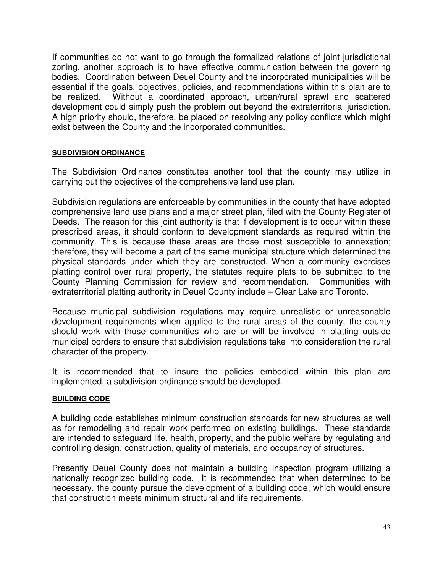If communities do not want to go through the formalized relations of joint jurisdictional zoning, another approach is to have effective communication between the governing bodies. Coordination between Deuel County and the incorporated municipalities will be essential if the goals, objectives, policies, and recommendations within this plan are to be realized. Without a coordinated approach, urban/rural sprawl and scattered development could simply push the problem out beyond the extraterritorial jurisdiction. A high priority should, therefore, be placed on resolving any policy conflicts which might exist between the County and the incorporated communities.

### **SUBDIVISION ORDINANCE**

The Subdivision Ordinance constitutes another tool that the county may utilize in carrying out the objectives of the comprehensive land use plan.

Subdivision regulations are enforceable by communities in the county that have adopted comprehensive land use plans and a major street plan, filed with the County Register of Deeds. The reason for this joint authority is that if development is to occur within these prescribed areas, it should conform to development standards as required within the community. This is because these areas are those most susceptible to annexation; therefore, they will become a part of the same municipal structure which determined the physical standards under which they are constructed. When a community exercises platting control over rural property, the statutes require plats to be submitted to the County Planning Commission for review and recommendation. Communities with extraterritorial platting authority in Deuel County include – Clear Lake and Toronto.

Because municipal subdivision regulations may require unrealistic or unreasonable development requirements when applied to the rural areas of the county, the county should work with those communities who are or will be involved in platting outside municipal borders to ensure that subdivision regulations take into consideration the rural character of the property.

It is recommended that to insure the policies embodied within this plan are implemented, a subdivision ordinance should be developed.

#### **BUILDING CODE**

A building code establishes minimum construction standards for new structures as well as for remodeling and repair work performed on existing buildings. These standards are intended to safeguard life, health, property, and the public welfare by regulating and controlling design, construction, quality of materials, and occupancy of structures.

Presently Deuel County does not maintain a building inspection program utilizing a nationally recognized building code. It is recommended that when determined to be necessary, the county pursue the development of a building code, which would ensure that construction meets minimum structural and life requirements.